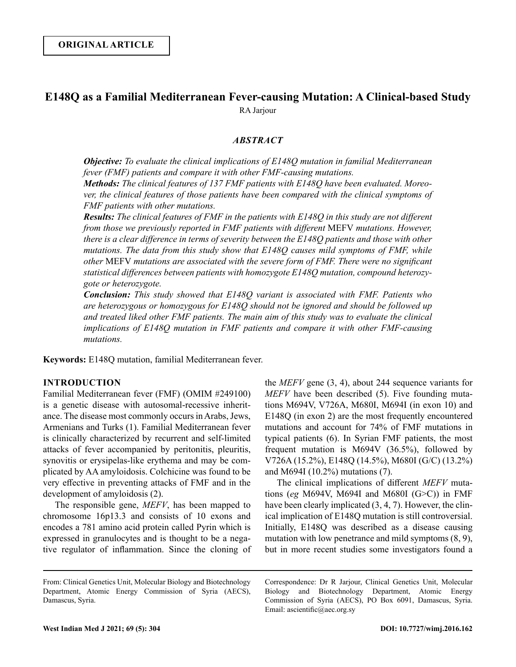# **E148Q as a Familial Mediterranean Fever-causing Mutation: A Clinical-based Study** RA Jarjour

## *ABSTRACT*

*Objective: To evaluate the clinical implications of E148Q mutation in familial Mediterranean fever (FMF) patients and compare it with other FMF-causing mutations.* 

*Methods: The clinical features of 137 FMF patients with E148Q have been evaluated. Moreover, the clinical features of those patients have been compared with the clinical symptoms of FMF patients with other mutations.* 

*Results: The clinical features of FMF in the patients with E148Q in this study are not different from those we previously reported in FMF patients with different* MEFV *mutations. However, there is a clear difference in terms of severity between the E148Q patients and those with other mutations. The data from this study show that E148Q causes mild symptoms of FMF, while other* MEFV *mutations are associated with the severe form of FMF. There were no significant statistical differences between patients with homozygote E148Q mutation, compound heterozygote or heterozygote.*

*Conclusion: This study showed that E148Q variant is associated with FMF. Patients who are heterozygous or homozygous for E148Q should not be ignored and should be followed up and treated liked other FMF patients. The main aim of this study was to evaluate the clinical implications of E148Q mutation in FMF patients and compare it with other FMF-causing mutations.* 

**Keywords:** E148Q mutation, familial Mediterranean fever.

## **INTRODUCTION**

Familial Mediterranean fever (FMF) (OMIM #249100) is a genetic disease with autosomal-recessive inheritance. The disease most commonly occurs in Arabs, Jews, Armenians and Turks (1). Familial Mediterranean fever is clinically characterized by recurrent and self-limited attacks of fever accompanied by peritonitis, pleuritis, synovitis or erysipelas-like erythema and may be complicated by AA amyloidosis. Colchicine was found to be very effective in preventing attacks of FMF and in the development of amyloidosis (2).

The responsible gene, *MEFV*, has been mapped to chromosome 16p13.3 and consists of 10 exons and encodes a 781 amino acid protein called Pyrin which is expressed in granulocytes and is thought to be a negative regulator of inflammation. Since the cloning of the *MEFV* gene (3, 4), about 244 sequence variants for *MEFV* have been described (5). Five founding mutations M694V, V726A, M680I, M694I (in exon 10) and E148Q (in exon 2) are the most frequently encountered mutations and account for 74% of FMF mutations in typical patients (6). In Syrian FMF patients, the most frequent mutation is M694V (36.5%), followed by V726A (15.2%), E148Q (14.5%), M680I (G/C) (13.2%) and M694I (10.2%) mutations (7).

The clinical implications of different *MEFV* mutations (*eg* M694V, M694I and M680I (G>C)) in FMF have been clearly implicated  $(3, 4, 7)$ . However, the clinical implication of E148Q mutation is still controversial. Initially, E148Q was described as a disease causing mutation with low penetrance and mild symptoms (8, 9), but in more recent studies some investigators found a

Correspondence: Dr R Jarjour, Clinical Genetics Unit, Molecular Biology and Biotechnology Department, Atomic Energy Commission of Syria (AECS), PO Box 6091, Damascus, Syria. Email: ascientific@aec.org.sy

From: Clinical Genetics Unit, Molecular Biology and Biotechnology Department, Atomic Energy Commission of Syria (AECS), Damascus, Syria.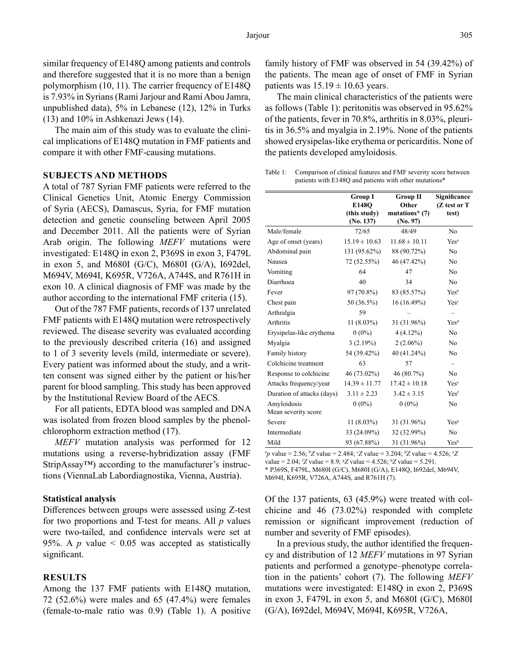similar frequency of E148Q among patients and controls and therefore suggested that it is no more than a benign polymorphism (10, 11). The carrier frequency of E148Q is 7.93% in Syrians (Rami Jarjour and Rami Abou Jamra, unpublished data), 5% in Lebanese (12), 12% in Turks (13) and 10% in Ashkenazi Jews (14).

The main aim of this study was to evaluate the clinical implications of E148Q mutation in FMF patients and compare it with other FMF-causing mutations.

## **SUBJECTS AND METHODS**

A total of 787 Syrian FMF patients were referred to the Clinical Genetics Unit, Atomic Energy Commission of Syria (AECS), Damascus, Syria, for FMF mutation detection and genetic counseling between April 2005 and December 2011. All the patients were of Syrian Arab origin. The following *MEFV* mutations were investigated: E148Q in exon 2, P369S in exon 3, F479L in exon 5, and M680I (G/C), M680I (G/A), I692del, M694V, M694I, K695R, V726A, A744S, and R761H in exon 10. A clinical diagnosis of FMF was made by the author according to the international FMF criteria (15).

Out of the 787 FMF patients, records of 137 unrelated FMF patients with E148Q mutation were retrospectively reviewed. The disease severity was evaluated according to the previously described criteria (16) and assigned to 1 of 3 severity levels (mild, intermediate or severe). Every patient was informed about the study, and a written consent was signed either by the patient or his/her parent for blood sampling. This study has been approved by the Institutional Review Board of the AECS.

For all patients, EDTA blood was sampled and DNA was isolated from frozen blood samples by the phenolchlorophorm extraction method (17).

*MEFV* mutation analysis was performed for 12 mutations using a reverse-hybridization assay (FMF StripAssay™) according to the manufacturer's instructions (ViennaLab Labordiagnostika, Vienna, Austria).

#### **Statistical analysis**

Differences between groups were assessed using Z-test for two proportions and T-test for means. All *p* values were two-tailed, and confidence intervals were set at 95%. A  $p$  value  $\leq 0.05$  was accepted as statistically significant.

#### **RESULTS**

Among the 137 FMF patients with E148Q mutation, 72 (52.6%) were males and 65 (47.4%) were females (female-to-male ratio was 0.9) (Table 1). A positive family history of FMF was observed in 54 (39.42%) of the patients. The mean age of onset of FMF in Syrian patients was  $15.19 \pm 10.63$  years.

The main clinical characteristics of the patients were as follows (Table 1): peritonitis was observed in 95.62% of the patients, fever in 70.8%, arthritis in 8.03%, pleuritis in 36.5% and myalgia in 2.19%. None of the patients showed erysipelas-like erythema or pericarditis. None of the patients developed amyloidosis.

Table 1: Comparison of clinical features and FMF severity score between patients with E148Q and patients with other mutations\*

|                            | <b>Group I</b>               | <b>Group II</b>                 | Significance     |
|----------------------------|------------------------------|---------------------------------|------------------|
|                            | E148O                        | Other                           | (Z test or T     |
|                            | (this study)<br>$(N_0, 137)$ | mutations* $(7)$<br>$(N_0, 97)$ | test)            |
|                            |                              |                                 |                  |
| Male/female                | 72/65                        | 48/49                           | No               |
| Age of onset (years)       | $15.19 \pm 10.63$            | $11.68 \pm 10.11$               | Yes <sup>a</sup> |
| Abdominal pain             | 131 (95.62%)                 | 88 (90.72%)                     | N <sub>0</sub>   |
| Nausea                     | 72 (52.55%)                  | 46 (47.42%)                     | N <sub>0</sub>   |
| Vomiting                   | 64                           | 47                              | No               |
| Diarrhoea                  | 40                           | 34                              | No               |
| Fever                      | 97 (70.8%)                   | 83 (85.57%)                     | Yes <sup>b</sup> |
| Chest pain                 | 50 (36.5%)                   | 16 (16.49%)                     | Yes <sup>c</sup> |
| Arthralgia                 | 59                           |                                 |                  |
| <b>Arthritis</b>           | $11(8.03\%)$                 | 31 (31.96%)                     | Yes <sup>d</sup> |
| Erysipelas-like erythema   | $0(0\%)$                     | $4(4.12\%)$                     | N <sub>0</sub>   |
| Myalgia                    | 3(2.19%)                     | $2(2.06\%)$                     | N <sub>0</sub>   |
| Family history             | 54 (39.42%)                  | 40 (41.24%)                     | No               |
| Colchicine treatment       | 63                           | 57                              |                  |
| Response to colchicine     | 46 (73.02%)                  | 46 (80.7%)                      | N <sub>0</sub>   |
| Attacks frequency/year     | $14.39 \pm 11.77$            | $17.42 \pm 10.18$               | Yes <sup>e</sup> |
| Duration of attacks (days) | $3.11 \pm 2.23$              | $3.42 \pm 3.15$                 | Yes <sup>f</sup> |
| Amyloidosis                | $0(0\%)$                     | $0(0\%)$                        | No               |
| Mean severity score        |                              |                                 |                  |
| Severe                     | $11(8.03\%)$                 | 31 (31.96%)                     | Yes <sup>g</sup> |
| Intermediate               | 33 (24.09%)                  | 32 (32.99%)                     | N <sub>o</sub>   |
| Mild                       | 93 (67.88%)                  | 31 (31.96%)                     | Yesh             |

 $^{a}p$  value = 2.56;  $^{b}Z$  value = 2.484;  $^{c}Z$  value = 3.204;  $^{d}Z$  value = 4.526;  $^{e}Z$ 

value = 2.04; f *Z* value = 8.9; g *Z* value = 4.526; h *Z* value = 5.291.

\* P369S, F479L, M680I (G/C), M680I (G/A), E148Q, I692del, M694V, M694I, K695R, V726A, A744S, and R761H (7).

Of the 137 patients, 63 (45.9%) were treated with colchicine and 46 (73.02%) responded with complete remission or significant improvement (reduction of number and severity of FMF episodes).

In a previous study, the author identified the frequency and distribution of 12 *MEFV* mutations in 97 Syrian patients and performed a genotype–phenotype correlation in the patients' cohort (7). The following *MEFV* mutations were investigated: E148Q in exon 2, P369S in exon 3, F479L in exon 5, and M680I (G/C), M680I (G/A), I692del, M694V, M694I, K695R, V726A,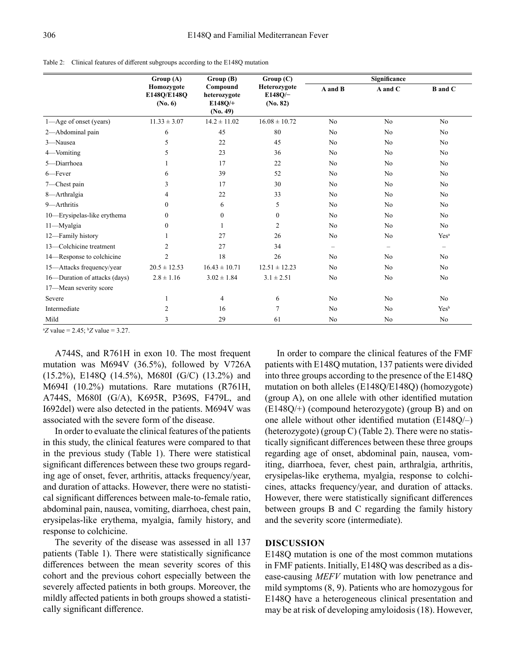| Table 2: Clinical features of different subgroups according to the E148Q mutation |  |
|-----------------------------------------------------------------------------------|--|
|-----------------------------------------------------------------------------------|--|

|                               | Group (A)<br>Group (B)                  |                                                      | Group(C)                                 | Significance             |                |                          |
|-------------------------------|-----------------------------------------|------------------------------------------------------|------------------------------------------|--------------------------|----------------|--------------------------|
|                               | Homozygote<br>E148Q/E148Q<br>$(N_0, 6)$ | Compound<br>heterozygote<br>$E148O/+$<br>$(N_0, 49)$ | Heterozygote<br>$E148O/-$<br>$(N_0, 82)$ | A and B                  | A and C        | <b>B</b> and C           |
| 1—Age of onset (years)        | $11.33 \pm 3.07$                        | $14.2 \pm 11.02$                                     | $16.08 \pm 10.72$                        | N <sub>o</sub>           | No             | N <sub>o</sub>           |
| 2-Abdominal pain              | 6                                       | 45                                                   | 80                                       | N <sub>o</sub>           | No             | N <sub>o</sub>           |
| 3-Nausea                      | 5                                       | 22                                                   | 45                                       | N <sub>o</sub>           | No             | N <sub>o</sub>           |
| 4-Vomiting                    | 5                                       | 23                                                   | 36                                       | N <sub>o</sub>           | No             | N <sub>o</sub>           |
| 5-Diarrhoea                   |                                         | 17                                                   | 22                                       | N <sub>o</sub>           | No             | No                       |
| 6-Fever                       | 6                                       | 39                                                   | 52                                       | N <sub>o</sub>           | No             | No                       |
| 7-Chest pain                  | 3                                       | 17                                                   | 30                                       | N <sub>o</sub>           | No             | N <sub>o</sub>           |
| 8-Arthralgia                  | 4                                       | 22                                                   | 33                                       | N <sub>o</sub>           | No             | N <sub>o</sub>           |
| 9-Arthritis                   | $\Omega$                                | 6                                                    | 5                                        | N <sub>o</sub>           | N <sub>o</sub> | N <sub>o</sub>           |
| 10—Erysipelas-like erythema   | $\Omega$                                | $\mathbf{0}$                                         | $\overline{0}$                           | No                       | No             | N <sub>o</sub>           |
| 11-Myalgia                    | $\Omega$                                |                                                      | 2                                        | N <sub>0</sub>           | N <sub>o</sub> | No                       |
| 12-Family history             |                                         | 27                                                   | 26                                       | N <sub>o</sub>           | No             | Yes <sup>a</sup>         |
| 13-Colchicine treatment       | 2                                       | 27                                                   | 34                                       | $\overline{\phantom{0}}$ |                | $\overline{\phantom{0}}$ |
| 14—Response to colchicine     | $\overline{c}$                          | 18                                                   | 26                                       | N <sub>o</sub>           | No             | No                       |
| 15-Attacks frequency/year     | $20.5 \pm 12.53$                        | $16.43 \pm 10.71$                                    | $12.51 \pm 12.23$                        | N <sub>o</sub>           | N <sub>o</sub> | N <sub>o</sub>           |
| 16-Duration of attacks (days) | $2.8 \pm 1.16$                          | $3.02 \pm 1.84$                                      | $3.1 \pm 2.51$                           | N <sub>o</sub>           | No             | N <sub>o</sub>           |
| 17-Mean severity score        |                                         |                                                      |                                          |                          |                |                          |
| Severe                        |                                         | $\overline{4}$                                       | 6                                        | N <sub>o</sub>           | N <sub>o</sub> | N <sub>o</sub>           |
| Intermediate                  | 2                                       | 16                                                   | $\overline{7}$                           | N <sub>o</sub>           | No             | Yesb                     |
| Mild                          | 3                                       | 29                                                   | 61                                       | N <sub>o</sub>           | No             | No                       |

 ${}^{\text{a}}Z$  value = 2.45;  ${}^{\text{b}}Z$  value = 3.27.

A744S, and R761H in exon 10. The most frequent mutation was M694V (36.5%), followed by V726A (15.2%), E148Q (14.5%), M680I (G/C) (13.2%) and M694I (10.2%) mutations. Rare mutations (R761H, A744S, M680I (G/A), K695R, P369S, F479L, and I692del) were also detected in the patients. M694V was associated with the severe form of the disease.

In order to evaluate the clinical features of the patients in this study, the clinical features were compared to that in the previous study (Table 1). There were statistical significant differences between these two groups regarding age of onset, fever, arthritis, attacks frequency/year, and duration of attacks. However, there were no statistical significant differences between male-to-female ratio, abdominal pain, nausea, vomiting, diarrhoea, chest pain, erysipelas-like erythema, myalgia, family history, and response to colchicine.

The severity of the disease was assessed in all 137 patients (Table 1). There were statistically significance differences between the mean severity scores of this cohort and the previous cohort especially between the severely affected patients in both groups. Moreover, the mildly affected patients in both groups showed a statistically significant difference.

In order to compare the clinical features of the FMF patients with E148Q mutation, 137 patients were divided into three groups according to the presence of the E148Q mutation on both alleles (E148Q/E148Q) (homozygote) (group A), on one allele with other identified mutation (E148Q/+) (compound heterozygote) (group B) and on one allele without other identified mutation (E148Q/–) (heterozygote) (group C) (Table 2). There were no statistically significant differences between these three groups regarding age of onset, abdominal pain, nausea, vomiting, diarrhoea, fever, chest pain, arthralgia, arthritis, erysipelas-like erythema, myalgia, response to colchicines, attacks frequency/year, and duration of attacks. However, there were statistically significant differences between groups B and C regarding the family history and the severity score (intermediate).

## **DISCUSSION**

E148Q mutation is one of the most common mutations in FMF patients. Initially, E148Q was described as a disease-causing *MEFV* mutation with low penetrance and mild symptoms (8, 9). Patients who are homozygous for E148Q have a heterogeneous clinical presentation and may be at risk of developing amyloidosis (18). However,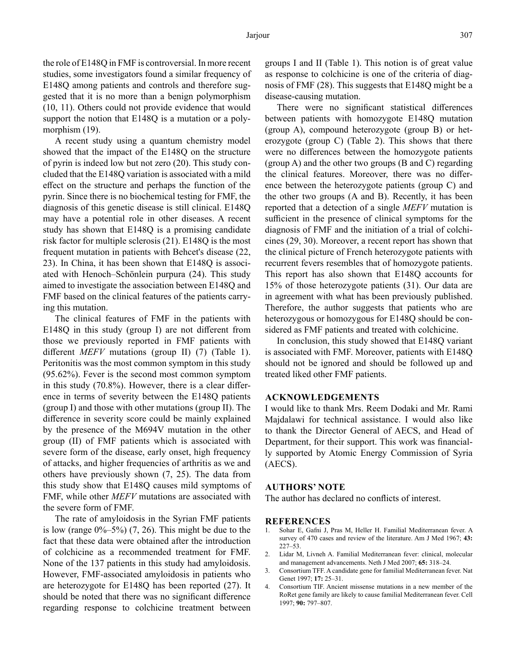the role of E148Q in FMF is controversial. In more recent studies, some investigators found a similar frequency of E148Q among patients and controls and therefore suggested that it is no more than a benign polymorphism (10, 11). Others could not provide evidence that would support the notion that E148Q is a mutation or a polymorphism  $(19)$ .

A recent study using a quantum chemistry model showed that the impact of the E148Q on the structure of pyrin is indeed low but not zero (20). This study concluded that the E148Q variation is associated with a mild effect on the structure and perhaps the function of the pyrin. Since there is no biochemical testing for FMF, the diagnosis of this genetic disease is still clinical. E148Q may have a potential role in other diseases. A recent study has shown that E148Q is a promising candidate risk factor for multiple sclerosis (21). E148Q is the most frequent mutation in patients with Behcet's disease (22, 23). In China, it has been shown that E148Q is associated with Henoch–Schönlein purpura (24). This study aimed to investigate the association between E148Q and FMF based on the clinical features of the patients carrying this mutation.

The clinical features of FMF in the patients with E148Q in this study (group I) are not different from those we previously reported in FMF patients with different *MEFV* mutations (group II) (7) (Table 1). Peritonitis was the most common symptom in this study (95.62%). Fever is the second most common symptom in this study (70.8%). However, there is a clear difference in terms of severity between the E148Q patients (group I) and those with other mutations (group II). The difference in severity score could be mainly explained by the presence of the M694V mutation in the other group (II) of FMF patients which is associated with severe form of the disease, early onset, high frequency of attacks, and higher frequencies of arthritis as we and others have previously shown (7, 25). The data from this study show that E148Q causes mild symptoms of FMF, while other *MEFV* mutations are associated with the severe form of FMF.

The rate of amyloidosis in the Syrian FMF patients is low (range  $0\% - 5\%$ ) (7, 26). This might be due to the fact that these data were obtained after the introduction of colchicine as a recommended treatment for FMF. None of the 137 patients in this study had amyloidosis. However, FMF-associated amyloidosis in patients who are heterozygote for E148Q has been reported (27). It should be noted that there was no significant difference regarding response to colchicine treatment between

groups I and II (Table 1). This notion is of great value as response to colchicine is one of the criteria of diagnosis of FMF (28). This suggests that E148Q might be a disease-causing mutation.

There were no significant statistical differences between patients with homozygote E148Q mutation (group A), compound heterozygote (group B) or heterozygote (group C) (Table 2). This shows that there were no differences between the homozygote patients (group A) and the other two groups (B and C) regarding the clinical features. Moreover, there was no difference between the heterozygote patients (group C) and the other two groups (A and B). Recently, it has been reported that a detection of a single *MEFV* mutation is sufficient in the presence of clinical symptoms for the diagnosis of FMF and the initiation of a trial of colchicines (29, 30). Moreover, a recent report has shown that the clinical picture of French heterozygote patients with recurrent fevers resembles that of homozygote patients. This report has also shown that E148Q accounts for 15% of those heterozygote patients (31). Our data are in agreement with what has been previously published. Therefore, the author suggests that patients who are heterozygous or homozygous for E148Q should be considered as FMF patients and treated with colchicine.

In conclusion, this study showed that E148Q variant is associated with FMF. Moreover, patients with E148Q should not be ignored and should be followed up and treated liked other FMF patients.

## **ACKNOWLEDGEMENTS**

I would like to thank Mrs. Reem Dodaki and Mr. Rami Majdalawi for technical assistance. I would also like to thank the Director General of AECS, and Head of Department, for their support. This work was financially supported by Atomic Energy Commission of Syria (AECS).

### **AUTHORS' NOTE**

The author has declared no conflicts of interest.

## **REFERENCES**

- 1. Sohar E, Gafni J, Pras M, Heller H. Familial Mediterranean fever. A survey of 470 cases and review of the literature. Am J Med 1967; **43:** 227–53.
- 2. Lidar M, Livneh A. Familial Mediterranean fever: clinical, molecular and management advancements. Neth J Med 2007; **65:** 318–24.
- 3. Consortium TFF. A candidate gene for familial Mediterranean fever. Nat Genet 1997; **17:** 25–31.
- 4. Consortium TIF. Ancient missense mutations in a new member of the RoRet gene family are likely to cause familial Mediterranean fever. Cell 1997; **90:** 797–807.